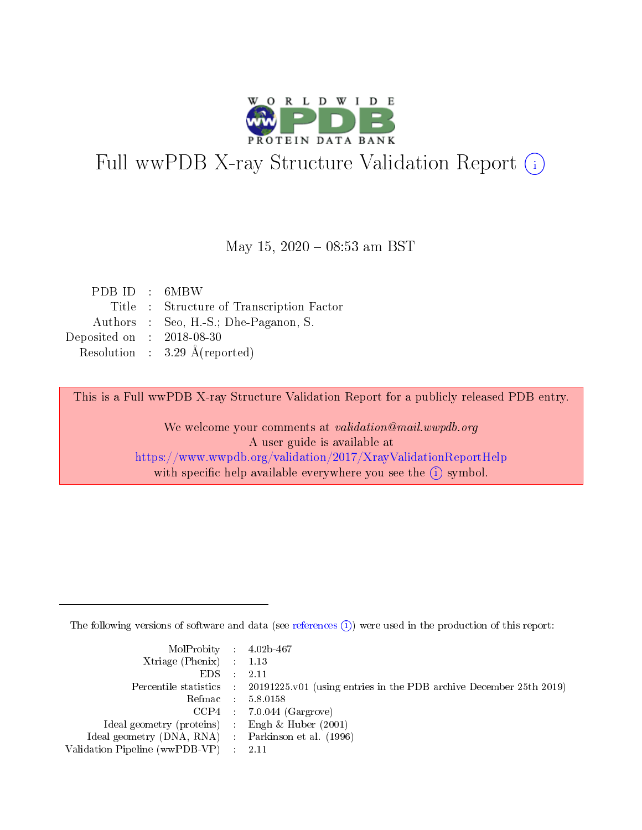

# Full wwPDB X-ray Structure Validation Report (i)

### May 15,  $2020 - 08:53$  am BST

| PDB ID : 6MBW               |                                           |
|-----------------------------|-------------------------------------------|
|                             | Title : Structure of Transcription Factor |
|                             | Authors : Seo, H.-S.; Dhe-Paganon, S.     |
| Deposited on : $2018-08-30$ |                                           |
|                             | Resolution : $3.29 \text{ Å}$ (reported)  |

This is a Full wwPDB X-ray Structure Validation Report for a publicly released PDB entry.

We welcome your comments at validation@mail.wwpdb.org A user guide is available at <https://www.wwpdb.org/validation/2017/XrayValidationReportHelp> with specific help available everywhere you see the  $(i)$  symbol.

The following versions of software and data (see [references](https://www.wwpdb.org/validation/2017/XrayValidationReportHelp#references)  $(i)$ ) were used in the production of this report:

| MolProbity : 4.02b-467         |                                                                                            |
|--------------------------------|--------------------------------------------------------------------------------------------|
| Xtriage (Phenix) $: 1.13$      |                                                                                            |
| $EDS$ :                        | 2.11                                                                                       |
|                                | Percentile statistics : 20191225.v01 (using entries in the PDB archive December 25th 2019) |
|                                | Refmac 58.0158                                                                             |
|                                | $CCP4$ 7.0.044 (Gargrove)                                                                  |
| Ideal geometry (proteins)      | Engh $\&$ Huber (2001)                                                                     |
| Ideal geometry (DNA, RNA) :    | Parkinson et al. (1996)                                                                    |
| Validation Pipeline (wwPDB-VP) | -2.11                                                                                      |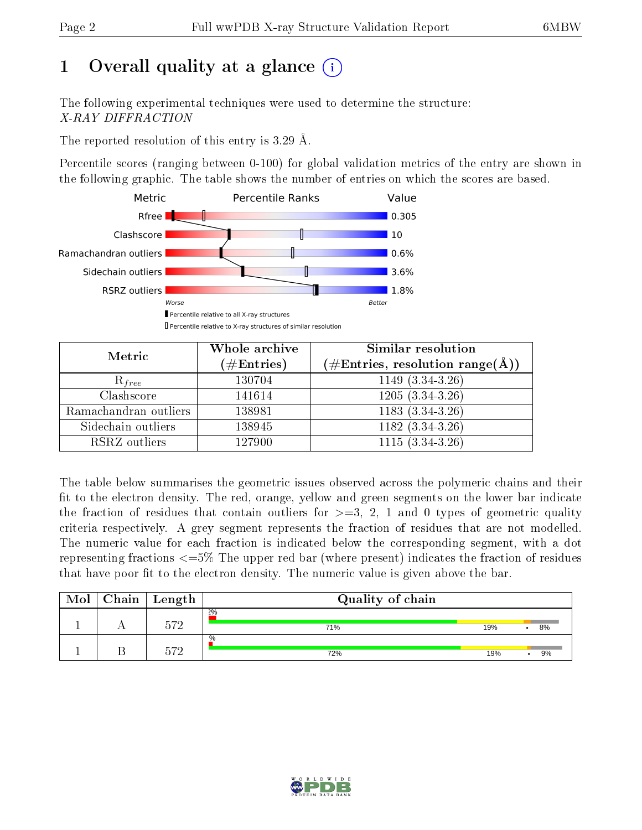# 1 [O](https://www.wwpdb.org/validation/2017/XrayValidationReportHelp#overall_quality)verall quality at a glance  $(i)$

The following experimental techniques were used to determine the structure: X-RAY DIFFRACTION

The reported resolution of this entry is 3.29 Å.

Percentile scores (ranging between 0-100) for global validation metrics of the entry are shown in the following graphic. The table shows the number of entries on which the scores are based.



| Metric                | Whole archive<br>$(\#\text{Entries})$ | Similar resolution<br>$(\#\text{Entries},\, \text{resolution}\; \text{range}(\textup{\AA}))$ |  |
|-----------------------|---------------------------------------|----------------------------------------------------------------------------------------------|--|
| $R_{free}$            | 130704                                | $1149(3.\overline{34-3.26})$                                                                 |  |
| Clashscore            | 141614                                | $1205(3.34-3.26)$                                                                            |  |
| Ramachandran outliers | 138981                                | $1183(3.34-3.26)$                                                                            |  |
| Sidechain outliers    | 138945                                | $1182(3.34-3.26)$                                                                            |  |
| RSRZ outliers         | 127900                                | $1115(3.34-3.26)$                                                                            |  |

The table below summarises the geometric issues observed across the polymeric chains and their fit to the electron density. The red, orange, yellow and green segments on the lower bar indicate the fraction of residues that contain outliers for  $>=3, 2, 1$  and 0 types of geometric quality criteria respectively. A grey segment represents the fraction of residues that are not modelled. The numeric value for each fraction is indicated below the corresponding segment, with a dot representing fractions  $\epsilon=5\%$  The upper red bar (where present) indicates the fraction of residues that have poor fit to the electron density. The numeric value is given above the bar.

| Mol | ${\bf Chain \mid Length}$ | Quality of chain |     |    |
|-----|---------------------------|------------------|-----|----|
|     | ドワク                       | 2%<br>71%        | 19% | 8% |
|     | ∽⇔ດ                       | $\%$<br>72%      | 19% | 9% |

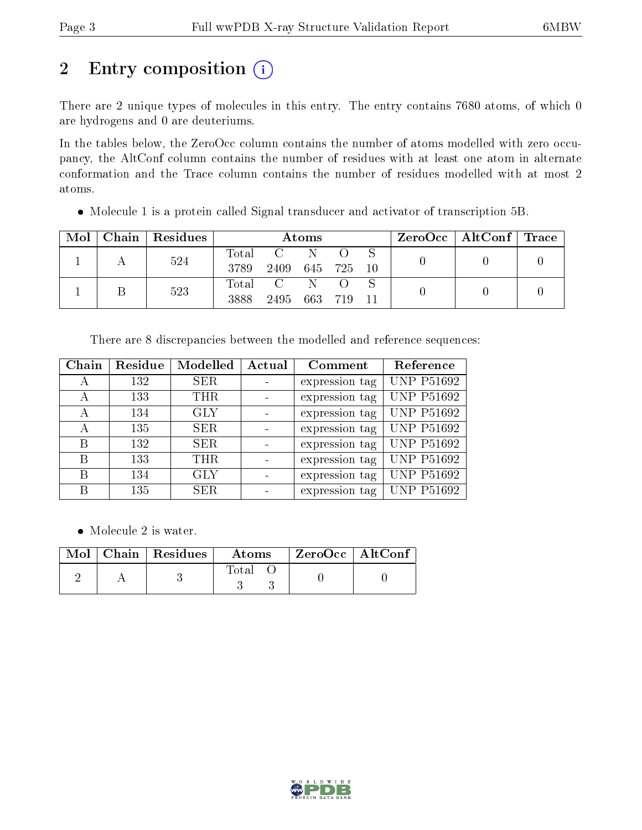# 2 Entry composition (i)

There are 2 unique types of molecules in this entry. The entry contains 7680 atoms, of which 0 are hydrogens and 0 are deuteriums.

In the tables below, the ZeroOcc column contains the number of atoms modelled with zero occupancy, the AltConf column contains the number of residues with at least one atom in alternate conformation and the Trace column contains the number of residues modelled with at most 2 atoms.

Molecule 1 is a protein called Signal transducer and activator of transcription 5B.

| Mol | Chain   Residues | Atoms         |      |     |         | $ZeroOcc \mid AltConf \mid Trace$ |  |  |
|-----|------------------|---------------|------|-----|---------|-----------------------------------|--|--|
|     | 524              | Total<br>3789 | 2409 |     | 645 725 | -10                               |  |  |
|     | 523              | Total<br>3888 | 2495 | 663 | -719    |                                   |  |  |

| Chain | Residue | Modelled   | Actual | Comment        | Reference         |
|-------|---------|------------|--------|----------------|-------------------|
| А     | 132     | <b>SER</b> |        | expression tag | <b>UNP P51692</b> |
| А     | 133     | <b>THR</b> |        | expression tag | <b>UNP P51692</b> |
| А     | 134     | <b>GLY</b> |        | expression tag | <b>UNP P51692</b> |
| А     | 135     | <b>SER</b> |        | expression tag | <b>UNP P51692</b> |
| В     | 132     | <b>SER</b> |        | expression tag | <b>UNP P51692</b> |
| В     | 133     | <b>THR</b> |        | expression tag | <b>UNP P51692</b> |
| В     | 134     | <b>GLY</b> |        | expression tag | <b>UNP P51692</b> |
| В     | 135     | <b>SER</b> |        | expression tag | UNP P51692        |

• Molecule 2 is water.

|  | $\overline{\text{Mol}}$ Chain   Residues | <b>Atoms</b> | $ZeroOcc$   AltConf |  |
|--|------------------------------------------|--------------|---------------------|--|
|  |                                          | $\rm Total$  |                     |  |

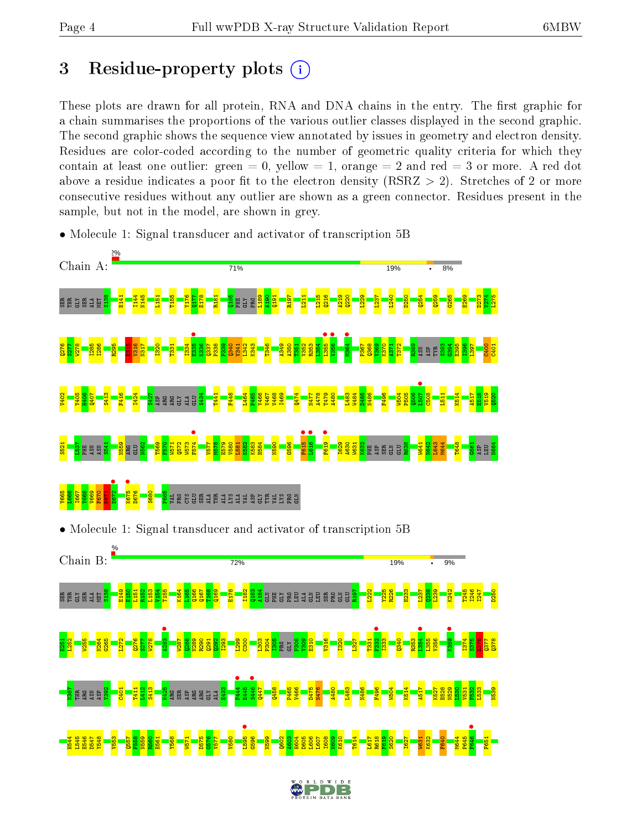# 3 Residue-property plots  $(i)$

These plots are drawn for all protein, RNA and DNA chains in the entry. The first graphic for a chain summarises the proportions of the various outlier classes displayed in the second graphic. The second graphic shows the sequence view annotated by issues in geometry and electron density. Residues are color-coded according to the number of geometric quality criteria for which they contain at least one outlier: green  $= 0$ , yellow  $= 1$ , orange  $= 2$  and red  $= 3$  or more. A red dot above a residue indicates a poor fit to the electron density (RSRZ  $> 2$ ). Stretches of 2 or more consecutive residues without any outlier are shown as a green connector. Residues present in the sample, but not in the model, are shown in grey.



• Molecule 1: Signal transducer and activator of transcription 5B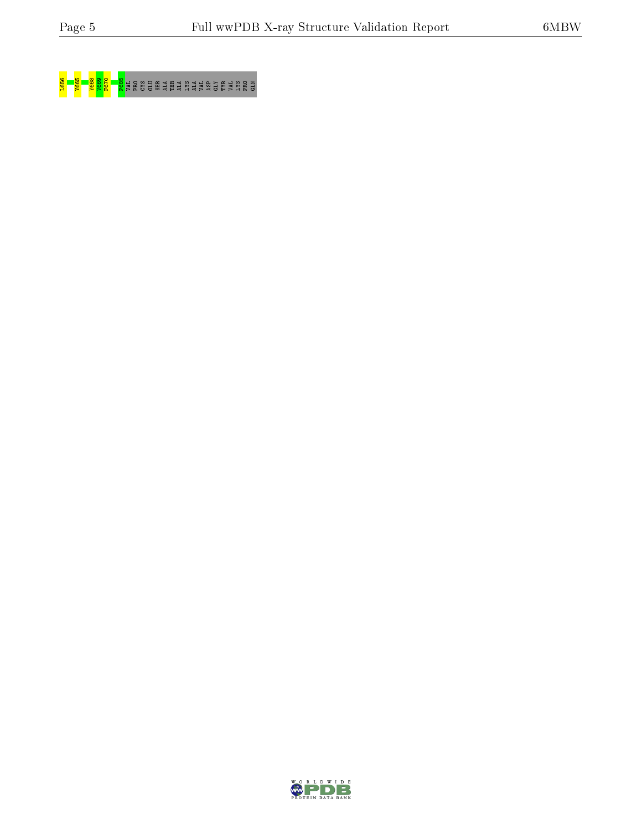

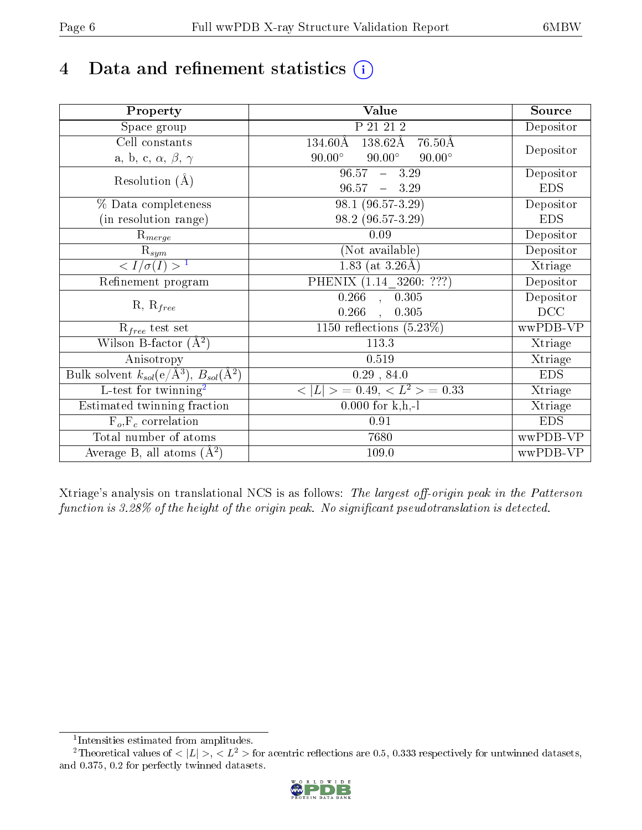# 4 Data and refinement statistics  $(i)$

| Property                                                   | <b>Value</b>                                       | Source     |
|------------------------------------------------------------|----------------------------------------------------|------------|
| Space group                                                | P 21 21 2                                          | Depositor  |
| Cell constants                                             | $138.62\text{\AA}$<br>$76.50\text{\AA}$<br>134.60Å |            |
| a, b, c, $\alpha$ , $\beta$ , $\gamma$                     | $90.00^\circ$<br>$90.00^\circ$<br>$90.00^\circ$    | Depositor  |
| Resolution $(A)$                                           | 96.57<br>$-3.29$                                   | Depositor  |
|                                                            | 96.57<br>$-3.29$                                   | <b>EDS</b> |
| % Data completeness                                        | 98.1 (96.57-3.29)                                  | Depositor  |
| (in resolution range)                                      | 98.2 (96.57-3.29)                                  | <b>EDS</b> |
| $R_{merge}$                                                | 0.09                                               | Depositor  |
| $\mathrm{R}_{sym}$                                         | (Not available)                                    | Depositor  |
| $\sqrt{I/\sigma}(I) > 1$                                   | 1.83 (at $3.26\text{\AA}$ )                        | Xtriage    |
| Refinement program                                         | PHENIX (1.14 3260: ???)                            | Depositor  |
|                                                            | $0.266$ , $0.\overline{305}$                       | Depositor  |
| $R, R_{free}$                                              | 0.266<br>0.305                                     | DCC        |
| $R_{free}$ test set                                        | 1150 reflections $(5.23\%)$                        | wwPDB-VP   |
| Wilson B-factor $(A^2)$                                    | 113.3                                              | Xtriage    |
| Anisotropy                                                 | 0.519                                              | Xtriage    |
| Bulk solvent $k_{sol}$ (e/Å <sup>3</sup> ), $B_{sol}(A^2)$ | 0.29, 84.0                                         | <b>EDS</b> |
| $\overline{L-test for}$ twinning <sup>2</sup>              | $< L >$ = 0.49, $< L2$ = 0.33                      | Xtriage    |
| Estimated twinning fraction                                | $0.000$ for k,h,-l                                 | Xtriage    |
| $F_o, F_c$ correlation                                     | 0.91                                               | <b>EDS</b> |
| Total number of atoms                                      | 7680                                               | wwPDB-VP   |
| Average B, all atoms $(A^2)$                               | 109.0                                              | wwPDB-VP   |

Xtriage's analysis on translational NCS is as follows: The largest off-origin peak in the Patterson function is  $3.28\%$  of the height of the origin peak. No significant pseudotranslation is detected.

<sup>&</sup>lt;sup>2</sup>Theoretical values of  $\langle |L| \rangle$ ,  $\langle L^2 \rangle$  for acentric reflections are 0.5, 0.333 respectively for untwinned datasets, and 0.375, 0.2 for perfectly twinned datasets.



<span id="page-5-1"></span><span id="page-5-0"></span><sup>1</sup> Intensities estimated from amplitudes.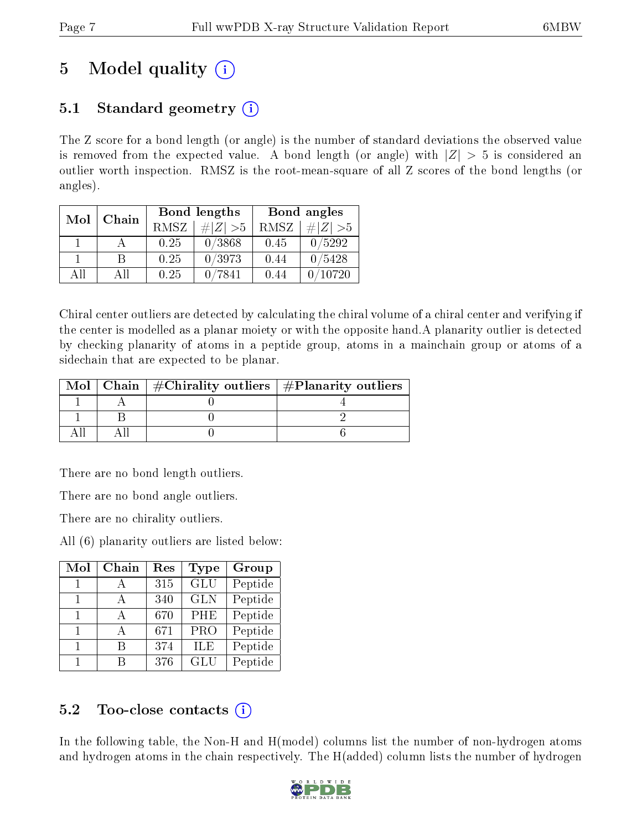# 5 Model quality  $(i)$

# 5.1 Standard geometry  $(i)$

The Z score for a bond length (or angle) is the number of standard deviations the observed value is removed from the expected value. A bond length (or angle) with  $|Z| > 5$  is considered an outlier worth inspection. RMSZ is the root-mean-square of all Z scores of the bond lengths (or angles).

| Mol | Chain |      | Bond lengths | Bond angles |             |  |
|-----|-------|------|--------------|-------------|-------------|--|
|     |       | RMSZ | $\# Z  > 5$  | RMSZ        | # $ Z  > 5$ |  |
|     |       | 0.25 | 0/3868       | 0.45        | 0/5292      |  |
|     | B     | 0.25 | 0/3973       | 0.44        | 0/5428      |  |
| AII | All   | 0.25 | 0/7841       | 0.44        | 10720       |  |

Chiral center outliers are detected by calculating the chiral volume of a chiral center and verifying if the center is modelled as a planar moiety or with the opposite hand.A planarity outlier is detected by checking planarity of atoms in a peptide group, atoms in a mainchain group or atoms of a sidechain that are expected to be planar.

|  | Mol   Chain   $\#\text{Chirality outliers}$   $\#\text{Planarity outliers}$ |  |
|--|-----------------------------------------------------------------------------|--|
|  |                                                                             |  |
|  |                                                                             |  |
|  |                                                                             |  |

There are no bond length outliers.

There are no bond angle outliers.

There are no chirality outliers.

All (6) planarity outliers are listed below:

| Mol | Chain | Res | Type                    | Group   |
|-----|-------|-----|-------------------------|---------|
|     |       | 315 | GLU                     | Peptide |
| 1   |       | 340 | <b>GLN</b>              | Peptide |
| 1   |       | 670 | PHE                     | Peptide |
| 1   |       | 671 | $\overline{\text{PRO}}$ | Peptide |
| 1   | R     | 374 | <b>ILE</b>              | Peptide |
| 1   |       | 376 | GLU                     | Peptide |

# 5.2 Too-close contacts  $(i)$

In the following table, the Non-H and H(model) columns list the number of non-hydrogen atoms and hydrogen atoms in the chain respectively. The H(added) column lists the number of hydrogen

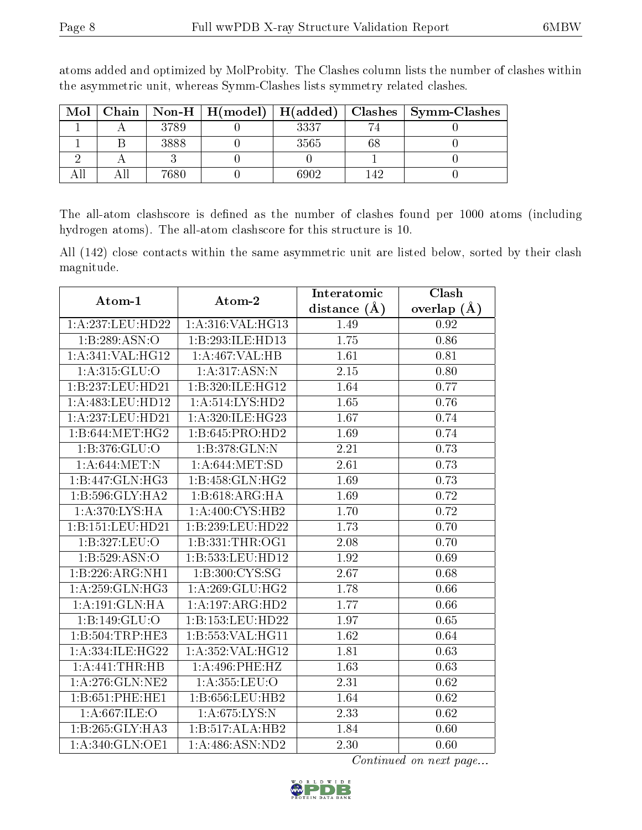| Mol | Chain |      | $\textbf{Non-H} \mid \textbf{H}(\text{model}) \mid \textbf{H}(\text{added})$ |      |      | Clashes   Symm-Clashes |
|-----|-------|------|------------------------------------------------------------------------------|------|------|------------------------|
|     |       | 3789 |                                                                              | 3337 |      |                        |
|     |       | 3888 |                                                                              | 3565 | 68   |                        |
|     |       |      |                                                                              |      |      |                        |
|     |       | 7680 |                                                                              | 6902 | 142. |                        |

atoms added and optimized by MolProbity. The Clashes column lists the number of clashes within the asymmetric unit, whereas Symm-Clashes lists symmetry related clashes.

The all-atom clashscore is defined as the number of clashes found per 1000 atoms (including hydrogen atoms). The all-atom clashscore for this structure is 10.

All (142) close contacts within the same asymmetric unit are listed below, sorted by their clash magnitude.

| Atom-1               | Atom-2              | Interatomic      | Clash           |
|----------------------|---------------------|------------------|-----------------|
|                      |                     | distance $(\AA)$ | overlap $(\AA)$ |
| 1:A:237:LEU:HD22     | 1:A:316:VAL:HG13    | 1.49             | 0.92            |
| 1:B:289:ASN:O        | 1:B:293:ILE:HD13    | 1.75             | 0.86            |
| 1: A:341: VAL:HGI2   | 1:A:467:VAL:HB      | 1.61             | 0.81            |
| 1:A:315:GLU:O        | 1: A:317: ASN:N     | 2.15             | 0.80            |
| 1:B:237:LEU:HD21     | 1:B:320:ILE:HG12    | 1.64             | 0.77            |
| 1: A:483:LEU:HD12    | 1: A:514: LYS: HD2  | 1.65             | 0.76            |
| 1: A:237:LEU:HD21    | 1: A:320: ILE: HG23 | 1.67             | 0.74            |
| 1:B:644:MET:HG2      | 1:B:645:PRO:HD2     | 1.69             | 0.74            |
| 1:B:376:GLU:O        | 1:B:378:GLN:N       | 2.21             | 0.73            |
| 1: A:644:MET:N       | 1: A:644: MET:SD    | 2.61             | 0.73            |
| 1:B:447:GLN:HG3      | 1:B:458:GLN:HG2     | 1.69             | 0.73            |
| 1:B:596:GLY:HA2      | 1:B:618:ARG:HA      | 1.69             | 0.72            |
| 1:A:370:LYS:HA       | 1: A:400: CYS:HB2   | 1.70             | 0.72            |
| 1:B:151:LEU:HD21     | 1:B:239:LEU:HD22    | 1.73             | 0.70            |
| 1:B:327:LEU:O        | 1:B:331:THR:OG1     | 2.08             | 0.70            |
| 1: B: 529: ASN:O     | 1:B:533:LEU:HD12    | 1.92             | 0.69            |
| 1:B:226:ARG:NH1      | 1:B:300:CYS:SG      | 2.67             | 0.68            |
| 1:A:259:GLN:HG3      | 1:A:269:GLU:HG2     | 1.78             | 0.66            |
| 1:A:191:GLN:HA       | 1:A:197:ARG:HD2     | 1.77             | 0.66            |
| 1:B:149:GLU:O        | 1:B:153:LEU:HD22    | 1.97             | 0.65            |
| 1:B:504:TRP:HE3      | 1:B:553:VAL:HG11    | 1.62             | 0.64            |
| 1: A: 334: ILE: HG22 | 1:A:352:VAL:HG12    | 1.81             | 0.63            |
| 1:A:441:THR:HB       | 1: A:496: PHE:HZ    | 1.63             | 0.63            |
| 1: A:276: GLN: NE2   | 1:A:355:LEU:O       | 2.31             | 0.62            |
| 1:B:651:PHE:HE1      | 1:B:656:LEU:HB2     | 1.64             | 0.62            |
| 1:A:667:ILE:O        | 1: A:675: LYS:N     | 2.33             | 0.62            |
| 1:B:265:GLY:HA3      | 1:B:517:ALA:HB2     | 1.84             | 0.60            |
| 1: A:340: GLN: OE1   | 1:A:486:ASN:ND2     | 2.30             | 0.60            |

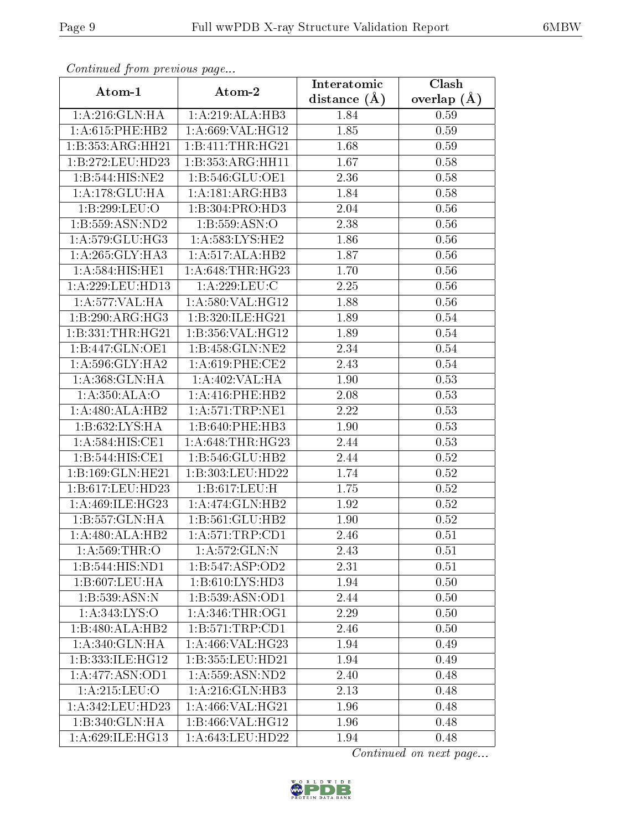| Continuea from previous page |                                 | Interatomic       | Clash         |
|------------------------------|---------------------------------|-------------------|---------------|
| Atom-1                       | Atom-2                          | distance $(A)$    | overlap $(A)$ |
| 1: A:216: GLN: HA            | 1:A:219:ALA:HB3                 | 1.84              | 0.59          |
| $1: A:615:$ PHE:HB2          | 1: A:669: VAL:HG12              | 1.85              | 0.59          |
| 1:B:353:ARG:HH21             | 1:B:411:THR:HG21                | 1.68              | 0.59          |
| 1:B:272:LEU:HD23             | 1:B:353:ARG:HH11                | 1.67              | 0.58          |
| 1:B:544:HIS:NE2              | 1: B: 546: GLU: OE1             | 2.36              | 0.58          |
| 1:A:178:GLU:HA               | 1:A:181:ARG:HB3                 | 1.84              | 0.58          |
| 1:B:299:LEU:O                | 1:B:304:PRO:HD3                 | 2.04              | 0.56          |
| 1:B:559:ASN:ND2              | 1: B: 559: ASN:O                | 2.38              | 0.56          |
| 1:A:579:GLU:HG3              | 1: A: 583: LYS: HE2             | 1.86              | 0.56          |
| 1: A:265: GLY:HA3            | 1:A:517:ALA:HB2                 | 1.87              | 0.56          |
| 1:A:584:HIS:HE1              | 1: A:648:THR:HG23               | 1.70              | 0.56          |
| 1: A:229:LEU:HD13            | 1:A:229:LEU:C                   | 2.25              | 0.56          |
| 1:A:577:VAL:HA               | 1: A:580: VAL: HG12             | 1.88              | 0.56          |
| 1:B:290:ARG:HG3              | 1:B:320:ILE:HG21                | 1.89              | 0.54          |
| 1: B: 331: THR: HG21         | 1:B:356:VAL:HG12                | 1.89              | 0.54          |
| 1:B:447:GLN:OE1              | 1:B:458:GLN:NE2                 | 2.34              | 0.54          |
| 1: A:596: GLY:HA2            | 1: A:619: PHE:CE2               | 2.43              | 0.54          |
| 1: A:368: GLN: HA            | 1: A:402:VAL:HA                 | 1.90              | 0.53          |
| 1: A:350:ALA:O               | $1: A:416:$ PHE:HB2             | 2.08              | 0.53          |
| 1:A:480:ALA:HB2              | 1: A:571:TRP:NE1                | 2.22              | 0.53          |
| 1:B:632:LYS:HA               | 1:B:640:PHE:HB3                 | 1.90              | 0.53          |
| 1:A:584:HIS:CE1              | 1: A:648:THR:HG23               | 2.44              | 0.53          |
| 1:B:544:HIS:CE1              | 1:B:546:GLU:HB2                 | 2.44              | 0.52          |
| 1:B:169:GLN:HE21             | 1:B:303:LEU:HD22                | 1.74              | 0.52          |
| 1:B:617:LEU:HD23             | 1:B:617:LEU:H                   | 1.75              | 0.52          |
| 1: A:469: ILE: HG23          | 1: A:474: GLN:HB2               | 1.92              | 0.52          |
| 1:B:557:GLN:HA               | 1:B:561:GLU:HB2                 | 1.90              | 0.52          |
| 1:A:480:ALA:HB2              | 1: A:571:TRP:CD1                | 2.46              | 0.51          |
| 1: A:569:THR:O               | 1:A:572:GLN:N                   | 2.43              | 0.51          |
| 1:B:544:HIS:ND1              | 1:B:547:ASP:OD2                 | 2.31              | 0.51          |
| 1:B:607:LEU:HA               | 1:B:610:LYS:HD3                 | 1.94              | 0.50          |
| 1:B:539:ASN:N                | 1:B:539:ASN:OD1                 | 2.44              | 0.50          |
| 1:A:343:LYS:O                | 1: A:346:THR:OG1                | 2.29              | 0.50          |
| 1:B:480:ALA:HB2              | 1:B:571:TRP:CD1                 | 2.46              | 0.50          |
| 1:A:340:GLN:HA               | 1: A:466: VAL:HG23              | 1.94              | 0.49          |
| 1:B:333:ILE:HG12             | 1:B:355:LEU:HD21                | $\overline{1}.94$ | 0.49          |
| 1:A:477:ASN:OD1              | $1: A:559: ASN: \overline{ND2}$ | 2.40              | 0.48          |
| 1:A:215:LEU:O                | 1: A:216: GLN:HB3               | 2.13              | 0.48          |
| 1:A:342:LEU:HD23             | 1: A:466: VAL:HG21              | 1.96              | 0.48          |
| 1:B:340:GLN:HA               | 1:B:466:VAL:HG12                | 1.96              | 0.48          |
| 1:A:629:ILE:HG13             | 1: A:643:LEU:HD22               | 1.94              | 0.48          |

Continued from previous page.

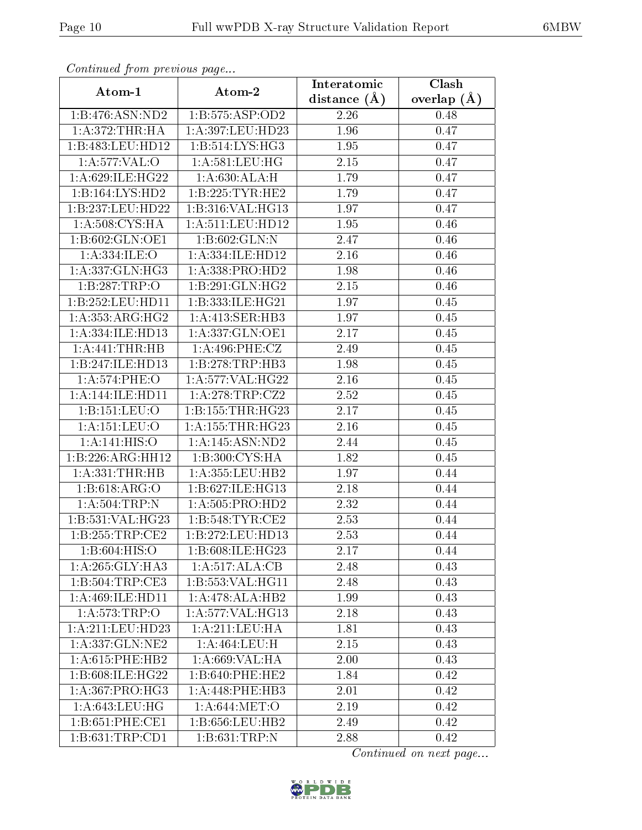| сонинией јтот ртеvious раде |                      | Interatomic    | Clash           |
|-----------------------------|----------------------|----------------|-----------------|
| Atom-1                      | Atom-2               | distance $(A)$ | overlap $(\AA)$ |
| 1:B:476:ASN:ND2             | 1:B:575:ASP:OD2      | 2.26           | 0.48            |
| 1: A:372:THR:HA             | 1:A:397:LEU:HD23     | 1.96           | 0.47            |
| 1:B:483:LEU:HD12            | 1:B:514:LYS:HG3      | 1.95           | 0.47            |
| 1:A:577:VAL:O               | 1: A:581:LEU:HG      | 2.15           | 0.47            |
| 1: A:629: ILE: HG22         | 1: A:630:ALA:H       | 1.79           | 0.47            |
| 1:B:164:LYS:HD2             | 1:B:225:TYR:HE2      | 1.79           | 0.47            |
| 1:B:237:LEU:HD22            | 1:B:316:VAL:HG13     | 1.97           | 0.47            |
| 1: A:508: CYS:HA            | 1:A:511:LEU:HD12     | 1.95           | 0.46            |
| 1:B:602:GLN:OE1             | 1:B:602:GLN:N        | 2.47           | 0.46            |
| 1: A: 334: ILE: O           | 1:A:334:ILE:HD12     | 2.16           | 0.46            |
| 1: A: 337: GLN: HG3         | 1:A:338:PRO:HD2      | 1.98           | 0.46            |
| 1:B:287:TRP:O               | 1:B:291:GLN:HG2      | 2.15           | 0.46            |
| 1:B:252:LEU:HD11            | 1:B:333:ILE:HG21     | 1.97           | 0.45            |
| 1: A: 353: ARG: HG2         | 1: A: 413: SER: HB3  | 1.97           | 0.45            |
| 1:A:334:ILE:HD13            | 1:A:337:GLN:OE1      | 2.17           | 0.45            |
| 1:A:441:THR:HB              | 1:A:496:PHE:CZ       | 2.49           | 0.45            |
| 1:B:247:ILE:HD13            | 1:B:278:TRP:HB3      | 1.98           | 0.45            |
| 1: A:574:PHE:O              | 1: A:577: VAL:HG22   | 2.16           | 0.45            |
| 1:A:144:ILE:HD11            | 1:A:278:TRP:CZ2      | 2.52           | 0.45            |
| 1:B:151:LEU:O               | 1: B: 155: THR: HG23 | 2.17           | 0.45            |
| 1:A:151:LEU:O               | 1: A: 155: THR: HG23 | 2.16           | 0.45            |
| 1:A:141:HIS:O               | 1:A:145:ASN:ND2      | 2.44           | 0.45            |
| 1:B:226:ARG:HH12            | 1:B:300:CYS:HA       | 1.82           | 0.45            |
| 1: A: 331: THR: HB          | 1:A:355:LEU:HB2      | 1.97           | 0.44            |
| 1: B:618: ARG:O             | 1:B:627:ILE:HG13     | 2.18           | 0.44            |
| 1: A:504:TRP:N              | 1: A: 505: PRO: HD2  | 2.32           | 0.44            |
| 1:B:531:VAL:HG23            | 1:B:548:TYR:CE2      | 2.53           | 0.44            |
| 1:B:255:TRP:CE2             | 1:B:272:LEU:HD13     | 2.53           | 0.44            |
| 1:B:604:HIS:O               | 1:B:608:ILE:HG23     | 2.17           | 0.44            |
| 1: A:265: GLY:HA3           | 1:A:517:ALA:CB       | 2.48           | 0.43            |
| 1: B: 504: TRP: CE3         | 1:B:553:VAL:HG11     | 2.48           | 0.43            |
| 1: A:469: ILE: HDI1         | 1:A:478:ALA:HB2      | 1.99           | 0.43            |
| 1: A:573:TRP. O             | 1:A:577:VAL:HG13     | 2.18           | 0.43            |
| 1: A:211:LEU:HD23           | 1:A:211:LEU:HA       | 1.81           | 0.43            |
| 1: A: 337: GLN: NE2         | 1: A:464:LEU:H       | 2.15           | 0.43            |
| $1: A:615:$ PHE:HB2         | 1: A:669: VAL:HA     | 2.00           | 0.43            |
| 1:B:608:ILE:HG22            | 1:B:640:PHE:HE2      | 1.84           | 0.42            |
| 1: A: 367: PRO:HG3          | 1:A:448:PHE:HB3      | 2.01           | 0.42            |
| 1: A:643:LEU:HG             | 1: A:644: MET:O      | 2.19           | 0.42            |
| 1:B:651:PHE:CE1             | 1:B:656:LEU:HB2      | 2.49           | 0.42            |
| 1: B:631:TRP:CD1            | 1:B:631:TRP:N        | 2.88           | 0.42            |

Continued from previous page.

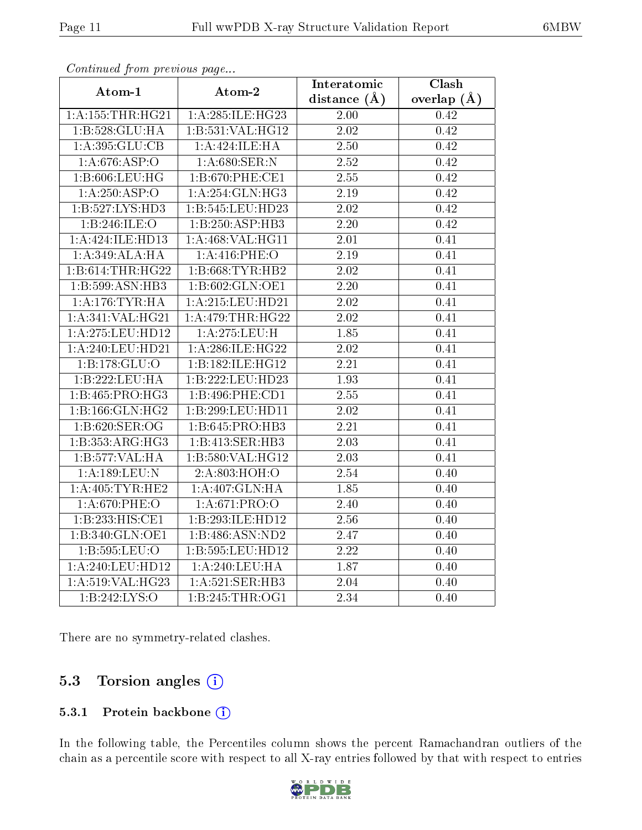| Atom-1                 | Atom-2           | Interatomic       | $\overline{\text{Clash}}$ |
|------------------------|------------------|-------------------|---------------------------|
|                        |                  | distance $(\AA)$  | overlap $(A)$             |
| $1:$ A:155:THR:H $G21$ | 1:A:285:ILE:HG23 | 2.00              | 0.42                      |
| 1:B:528:GLU:HA         | 1:B:531:VAL:HG12 | $\overline{2.02}$ | 0.42                      |
| 1:A:395:GLU:CB         | 1:A:424:ILE:HA   | 2.50              | 0.42                      |
| 1:A:676:ASP:O          | 1:A:680:SER:N    | 2.52              | 0.42                      |
| $1: B:606:$ LEU:HG     | 1:B:670:PHE:CE1  | 2.55              | 0.42                      |
| 1:A:250:ASP:O          | 1:A:254:GLN:HG3  | $\overline{2.19}$ | 0.42                      |
| 1:B:527:LYS:HD3        | 1:B:545:LEU:HD23 | 2.02              | 0.42                      |
| 1:B:246:ILE:O          | 1:B:250:ASP:HB3  | $2.20\,$          | 0.42                      |
| 1:A:424:ILE:HD13       | 1:A:468:VAL:HG11 | 2.01              | 0.41                      |
| 1:A:349:ALA:HA         | 1:A:416:PHE:O    | $\overline{2.19}$ | 0.41                      |
| 1:B:614:THR:HG22       | 1:B:668:TYR:HB2  | $\overline{2}.02$ | 0.41                      |
| 1:B:599:ASN:HB3        | 1:B:602:GLN:OE1  | $\overline{2.20}$ | 0.41                      |
| 1: A:176:TYR:HA        | 1:A:215:LEU:HD21 | 2.02              | 0.41                      |
| 1:A:341:VAL:HG21       | 1:A:479:THR:HG22 | $\overline{2.02}$ | 0.41                      |
| 1: A:275: LEU: HD12    | 1:A:275:LEU:H    | 1.85              | 0.41                      |
| 1:A:240:LEU:HD21       | 1:A:286:ILE:HG22 | 2.02              | 0.41                      |
| 1:B:178:GLU:O          | 1:B:182:ILE:HG12 | $\overline{2.21}$ | 0.41                      |
| 1:B:222:LEU:HA         | 1:B:222:LEU:HD23 | $\overline{1.93}$ | 0.41                      |
| 1:B:465:PRO:HG3        | 1:B:496:PHE:CD1  | 2.55              | 0.41                      |
| 1:B:166:GLN:HG2        | 1:B:299:LEU:HD11 | 2.02              | 0.41                      |
| 1:B:620:SER:OG         | 1:B:645:PRO:HB3  | 2.21              | 0.41                      |
| 1:B:353:ARG:HG3        | 1:B:413:SER:HB3  | 2.03              | 0.41                      |
| 1:B:577:VAL:HA         | 1:B:580:VAL:HG12 | 2.03              | 0.41                      |
| 1:A:189:LEU:N          | 2:A:803:HOH:O    | $\overline{2.54}$ | 0.40                      |
| 1: A:405: TYR: HE2     | 1:A:407:GLN:HA   | 1.85              | 0.40                      |
| 1:A:670:PHE:O          | 1: A:671: PRO:O  | 2.40              | 0.40                      |
| 1:B:233:HIS:CE1        | 1:B:293:ILE:HD12 | 2.56              | 0.40                      |
| 1:B:340:GLN:OE1        | 1:B:486:ASN:ND2  | 2.47              | 0.40                      |
| 1:B:595:LEU:O          | 1:B:595:LEU:HD12 | $\overline{2.22}$ | 0.40                      |
| 1: A:240:LEU:HD12      | 1:A:240:LEU:HA   | 1.87              | 0.40                      |
| 1:A:519:VAL:HG23       | 1:A:521:SER:HB3  | $\overline{2.04}$ | 0.40                      |
| 1: B: 242: LYS:O       | 1:B:245:THR:OG1  | 2.34              | 0.40                      |

Continued from previous page...

There are no symmetry-related clashes.

### 5.3 Torsion angles  $(i)$

#### 5.3.1 Protein backbone (i)

In the following table, the Percentiles column shows the percent Ramachandran outliers of the chain as a percentile score with respect to all X-ray entries followed by that with respect to entries

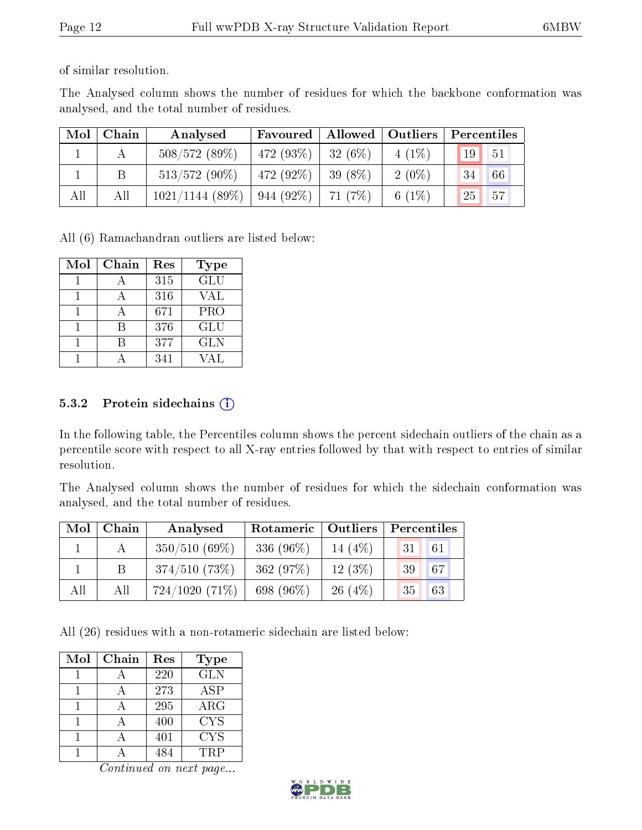of similar resolution.

The Analysed column shows the number of residues for which the backbone conformation was analysed, and the total number of residues.

| Mol | Chain | Analysed          | Favoured     | Allowed   Outliers |          | Percentiles |     |
|-----|-------|-------------------|--------------|--------------------|----------|-------------|-----|
|     |       | 508/572(89%)      | 472 $(93\%)$ | 32(6%)             | $4(1\%)$ | 19          | 51  |
|     | Β     | $513/572(90\%)$   | 472 (92\%)   | 39 $(8\%)$         | $2(0\%)$ | 34          | 66  |
| All | All   | $1021/1144$ (89%) | $944(92\%)$  | 71(7%)             | 6 $(1%)$ | 25          | 457 |

All (6) Ramachandran outliers are listed below:

| Mol | Chain | Res | Type       |
|-----|-------|-----|------------|
|     |       | 315 | <b>GLU</b> |
|     |       | 316 | VAL        |
|     |       | 671 | <b>PRO</b> |
|     | R     | 376 | <b>GLU</b> |
|     |       | 377 | <b>GLN</b> |
|     |       | 341 | 7AT.       |

#### 5.3.2 Protein sidechains  $(i)$

In the following table, the Percentiles column shows the percent sidechain outliers of the chain as a percentile score with respect to all X-ray entries followed by that with respect to entries of similar resolution.

The Analysed column shows the number of residues for which the sidechain conformation was analysed, and the total number of residues.

| Mol | Chain | Analysed         | Rotameric   Outliers |           | Percentiles |
|-----|-------|------------------|----------------------|-----------|-------------|
|     |       | $350/510(69\%)$  | 336 (96%)            | 14 $(4%)$ | 61<br>31    |
|     | B     | 374/510(73%)     | 362 $(97%)$          | $12(3\%)$ | 67<br>39    |
| All | All   | $724/1020(71\%)$ | 698 (96%)            | $26(4\%)$ | 63<br>35    |

All (26) residues with a non-rotameric sidechain are listed below:

| Mol | Chain | Res | <b>Type</b> |
|-----|-------|-----|-------------|
|     |       | 220 | <b>GLN</b>  |
|     |       | 273 | ASP         |
|     |       | 295 | $\rm{ARG}$  |
|     |       | 400 | <b>CYS</b>  |
|     |       | 401 | <b>CYS</b>  |
|     |       |     | TRP         |

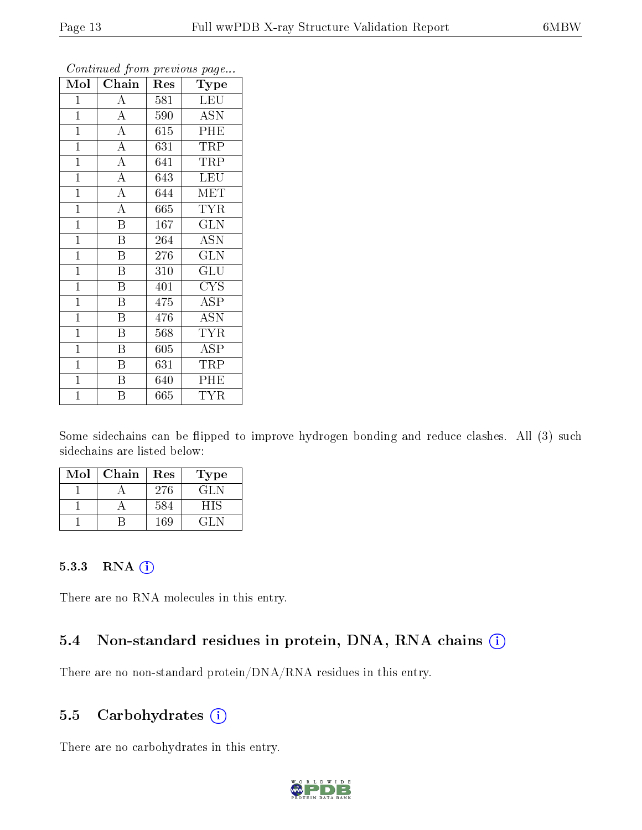| Mol            | Chain                   | Res     | Type                      |
|----------------|-------------------------|---------|---------------------------|
| $\mathbf{1}$   | $\boldsymbol{A}$        | 581     | <b>LEU</b>                |
| $\mathbf{1}$   | $\overline{A}$          | 590     | <b>ASN</b>                |
| $\overline{1}$ | $\overline{\rm A}$      | 615     | PHE                       |
| $\mathbf{1}$   | $\overline{A}$          | 631     | TRP                       |
| $\overline{1}$ | $\overline{A}$          | 641     | <b>TRP</b>                |
| $\mathbf{1}$   | $\overline{\rm A}$      | 643     | <b>LEU</b>                |
| $\mathbf{1}$   | $\overline{\rm A}$      | 644     | MET                       |
| $\mathbf{1}$   | $\overline{\rm A}$      | 665     | <b>TYR</b>                |
| $\mathbf{1}$   | $\overline{\mathrm{B}}$ | 167     | <b>GLN</b>                |
| $\mathbf{1}$   | $\overline{\mathrm{B}}$ | 264     | $\overline{ASN}$          |
| $\mathbf{1}$   | $\overline{\mathrm{B}}$ | 276     | GLN                       |
| $\mathbf{1}$   | $\overline{\mathrm{B}}$ | 310     | $\widetilde{{\rm GLU}}$   |
| $\mathbf{1}$   | B                       | 401     | <b>CYS</b>                |
| $\overline{1}$ | $\overline{\text{B}}$   | 475     | <b>ASP</b>                |
| $\overline{1}$ | $\overline{\mathrm{B}}$ | 476     | $\overline{\mathrm{ASN}}$ |
| $\mathbf{1}$   | $\, {\bf B}$            | 568     | <b>TYR</b>                |
| $\mathbf{1}$   | Β                       | $605\,$ | <b>ASP</b>                |
| $\mathbf{1}$   | $\boldsymbol{B}$        | 631     | TRP                       |
| $\mathbf{1}$   | B                       | 640     | PHE                       |
| $\overline{1}$ | $\overline{\mathrm{B}}$ | 665     | <b>TYR</b>                |

Continued from previous page...

Some sidechains can be flipped to improve hydrogen bonding and reduce clashes. All (3) such sidechains are listed below:

| Mol | Chain | Res | Type       |
|-----|-------|-----|------------|
|     |       | 276 | <b>GLN</b> |
|     |       | 584 | НIS        |
|     |       | 169 | 71 N       |

#### 5.3.3 RNA (i)

There are no RNA molecules in this entry.

### 5.4 Non-standard residues in protein, DNA, RNA chains  $(i)$

There are no non-standard protein/DNA/RNA residues in this entry.

#### 5.5 Carbohydrates  $(i)$

There are no carbohydrates in this entry.

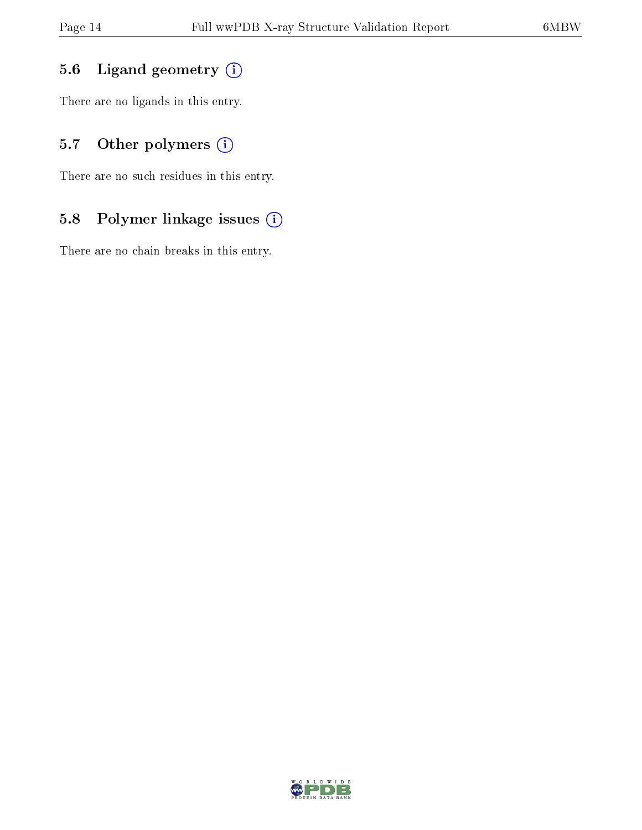### 5.6 Ligand geometry (i)

There are no ligands in this entry.

### 5.7 [O](https://www.wwpdb.org/validation/2017/XrayValidationReportHelp#nonstandard_residues_and_ligands)ther polymers (i)

There are no such residues in this entry.

### 5.8 Polymer linkage issues (i)

There are no chain breaks in this entry.

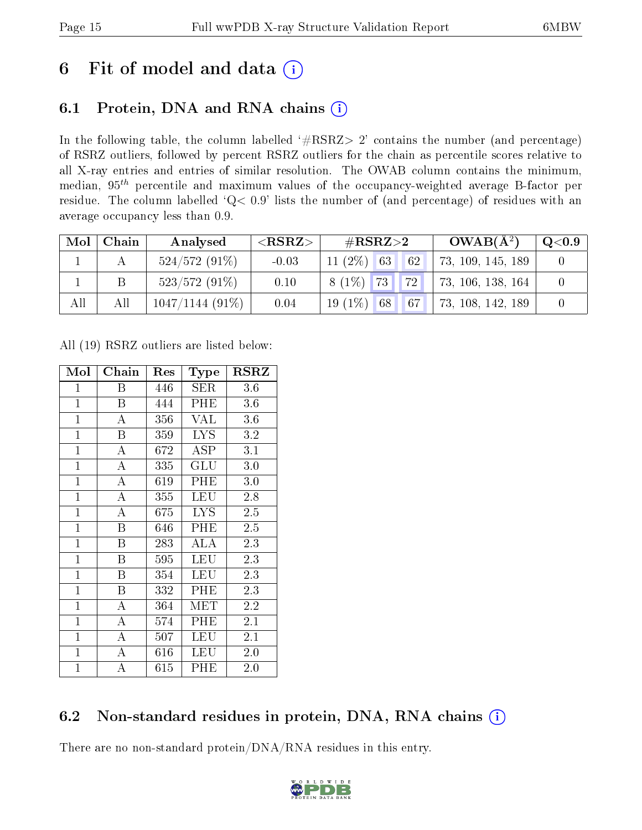# 6 Fit of model and data  $(i)$

# 6.1 Protein, DNA and RNA chains  $(i)$

In the following table, the column labelled  $#RSRZ> 2'$  contains the number (and percentage) of RSRZ outliers, followed by percent RSRZ outliers for the chain as percentile scores relative to all X-ray entries and entries of similar resolution. The OWAB column contains the minimum, median,  $95<sup>th</sup>$  percentile and maximum values of the occupancy-weighted average B-factor per residue. The column labelled ' $Q< 0.9$ ' lists the number of (and percentage) of residues with an average occupancy less than 0.9.

| Mol | Chain | Analysed          | ${ <\hspace{-1.5pt}{\mathrm{RSRZ}} \hspace{-1.5pt}>}$ | $\rm \#RSRZ{>}2$        | $OWAB(A^2)$       | Q <sub>0.9</sub> |
|-----|-------|-------------------|-------------------------------------------------------|-------------------------|-------------------|------------------|
|     |       | $524/572(91\%)$   | $-0.03$                                               | $11 (2\%)$ 63<br> 62    | 73, 109, 145, 189 |                  |
|     |       | $523/572(91\%)$   | 0.10                                                  | $8(1\%)$ 73<br>$.172$ J | 73, 106, 138, 164 |                  |
| All | All   | $1047/1144(91\%)$ | 0.04                                                  | $19(1\%)$ 68<br> 67     | 73, 108, 142, 189 |                  |

All (19) RSRZ outliers are listed below:

| Mol            | Chain              | Res | <b>Type</b> | $_{\rm RSRZ}$ |
|----------------|--------------------|-----|-------------|---------------|
| $\mathbf 1$    | Β                  | 446 | <b>SER</b>  | 3.6           |
| $\mathbf{1}$   | B                  | 444 | PHE         | 3.6           |
| $\mathbf{1}$   | A                  | 356 | VAL         | 3.6           |
| $\mathbf{1}$   | B                  | 359 | <b>LYS</b>  | 3.2           |
| $\overline{1}$ | A                  | 672 | ASP         | 3.1           |
| $\mathbf{1}$   | $\mathbf{A}$       | 335 | GLU         | 3.0           |
| $\overline{1}$ | A                  | 619 | PHE         | 3.0           |
| $\mathbf{1}$   | $\overline{\rm A}$ | 355 | LEU         | 2.8           |
| $\mathbf{1}$   | А                  | 675 | <b>LYS</b>  | 2.5           |
| $\mathbf{1}$   | B                  | 646 | PHE         | $2.5\,$       |
| $\mathbf{1}$   | B                  | 283 | ALA         | 2.3           |
| $\mathbf{1}$   | B                  | 595 | <b>LEU</b>  | 2.3           |
| $\mathbf{1}$   | B                  | 354 | LEU         | 2.3           |
| $\overline{1}$ | B                  | 332 | PHE         | 2.3           |
| $\mathbf{1}$   | $\overline{\rm A}$ | 364 | <b>MET</b>  | 2.2           |
| $\mathbf{1}$   | $\mathbf{A}$       | 574 | PHE         | 2.1           |
| $\mathbf{1}$   | A                  | 507 | LEU         | 2.1           |
| $\mathbf{1}$   | A                  | 616 | LEU         | 2.0           |
| $\mathbf 1$    | А                  | 615 | PHE         | 2.0           |

# 6.2 Non-standard residues in protein, DNA, RNA chains  $(i)$

There are no non-standard protein/DNA/RNA residues in this entry.